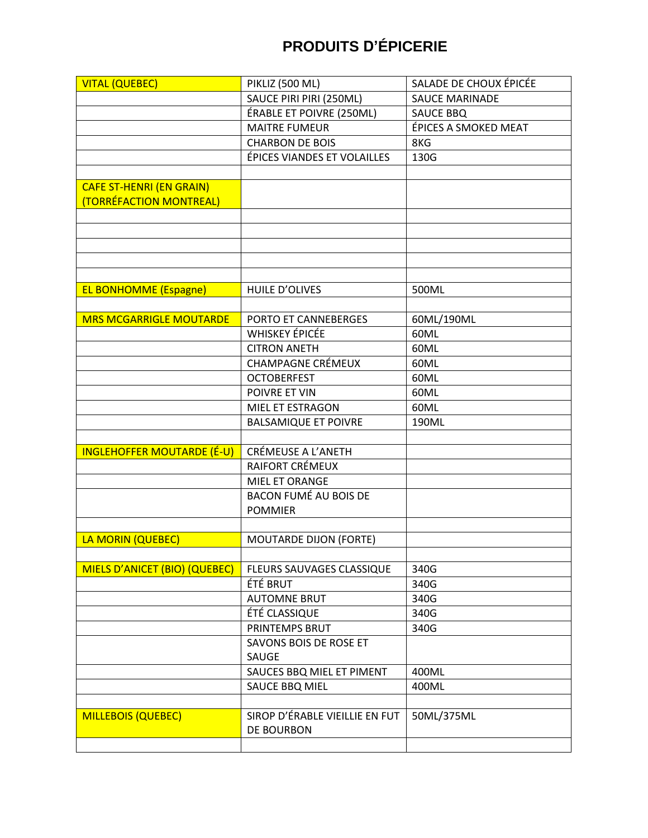| <b>VITAL (QUEBEC)</b>             | PIKLIZ (500 ML)                | SALADE DE CHOUX ÉPICÉE |
|-----------------------------------|--------------------------------|------------------------|
|                                   | SAUCE PIRI PIRI (250ML)        | <b>SAUCE MARINADE</b>  |
|                                   | ÉRABLE ET POIVRE (250ML)       | <b>SAUCE BBQ</b>       |
|                                   | <b>MAITRE FUMEUR</b>           | ÉPICES A SMOKED MEAT   |
|                                   | <b>CHARBON DE BOIS</b>         | 8KG                    |
|                                   | ÉPICES VIANDES ET VOLAILLES    | 130G                   |
|                                   |                                |                        |
| <b>CAFE ST-HENRI (EN GRAIN)</b>   |                                |                        |
| (TORRÉFACTION MONTREAL)           |                                |                        |
|                                   |                                |                        |
|                                   |                                |                        |
|                                   |                                |                        |
|                                   |                                |                        |
|                                   |                                |                        |
| <b>EL BONHOMME (Espagne)</b>      | <b>HUILE D'OLIVES</b>          | 500ML                  |
|                                   |                                |                        |
| <b>MRS MCGARRIGLE MOUTARDE</b>    | PORTO ET CANNEBERGES           | 60ML/190ML             |
|                                   | <b>WHISKEY ÉPICÉE</b>          | 60ML                   |
|                                   | <b>CITRON ANETH</b>            | 60ML                   |
|                                   | <b>CHAMPAGNE CRÉMEUX</b>       | 60ML                   |
|                                   | <b>OCTOBERFEST</b>             | 60ML                   |
|                                   | POIVRE ET VIN                  | 60ML                   |
|                                   | MIEL ET ESTRAGON               | 60ML                   |
|                                   | <b>BALSAMIQUE ET POIVRE</b>    | 190ML                  |
|                                   |                                |                        |
| <b>INGLEHOFFER MOUTARDE (É-U)</b> | CRÉMEUSE A L'ANETH             |                        |
|                                   | RAIFORT CRÉMEUX                |                        |
|                                   | MIEL ET ORANGE                 |                        |
|                                   | <b>BACON FUMÉ AU BOIS DE</b>   |                        |
|                                   | <b>POMMIER</b>                 |                        |
|                                   |                                |                        |
| LA MORIN (QUEBEC)                 | <b>MOUTARDE DIJON (FORTE)</b>  |                        |
|                                   |                                |                        |
| MIELS D'ANICET (BIO) (QUEBEC)     | FLEURS SAUVAGES CLASSIQUE      | 340G                   |
|                                   | ÉTÉ BRUT                       | 340G                   |
|                                   | <b>AUTOMNE BRUT</b>            | 340G                   |
|                                   | ÉTÉ CLASSIQUE                  | 340G                   |
|                                   | PRINTEMPS BRUT                 | 340G                   |
|                                   | SAVONS BOIS DE ROSE ET         |                        |
|                                   | SAUGE                          |                        |
|                                   | SAUCES BBQ MIEL ET PIMENT      | 400ML                  |
|                                   | SAUCE BBQ MIEL                 | 400ML                  |
|                                   |                                |                        |
| <b>MILLEBOIS (QUEBEC)</b>         | SIROP D'ÉRABLE VIEILLIE EN FUT | 50ML/375ML             |
|                                   | DE BOURBON                     |                        |
|                                   |                                |                        |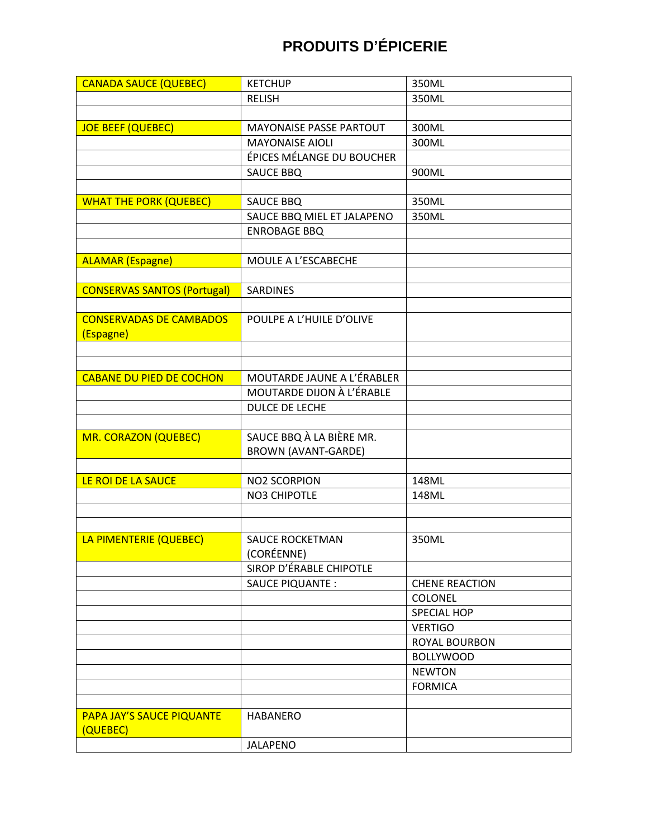| <b>CANADA SAUCE (QUEBEC)</b>       | <b>KETCHUP</b>                 | 350ML                 |
|------------------------------------|--------------------------------|-----------------------|
|                                    | <b>RELISH</b>                  | 350ML                 |
|                                    |                                |                       |
| <b>JOE BEEF (QUEBEC)</b>           | <b>MAYONAISE PASSE PARTOUT</b> | 300ML                 |
|                                    | <b>MAYONAISE AIOLI</b>         | 300ML                 |
|                                    | ÉPICES MÉLANGE DU BOUCHER      |                       |
|                                    | SAUCE BBQ                      | 900ML                 |
|                                    |                                |                       |
| <b>WHAT THE PORK (QUEBEC)</b>      | <b>SAUCE BBQ</b>               | 350ML                 |
|                                    | SAUCE BBQ MIEL ET JALAPENO     | 350ML                 |
|                                    | <b>ENROBAGE BBQ</b>            |                       |
|                                    |                                |                       |
| <b>ALAMAR (Espagne)</b>            | MOULE A L'ESCABECHE            |                       |
|                                    |                                |                       |
| <b>CONSERVAS SANTOS (Portugal)</b> | <b>SARDINES</b>                |                       |
|                                    |                                |                       |
| <b>CONSERVADAS DE CAMBADOS</b>     | POULPE A L'HUILE D'OLIVE       |                       |
| (Espagne)                          |                                |                       |
|                                    |                                |                       |
|                                    |                                |                       |
| <b>CABANE DU PIED DE COCHON</b>    | MOUTARDE JAUNE A L'ÉRABLER     |                       |
|                                    | MOUTARDE DIJON À L'ÉRABLE      |                       |
|                                    | <b>DULCE DE LECHE</b>          |                       |
|                                    |                                |                       |
| <b>MR. CORAZON (QUEBEC)</b>        | SAUCE BBQ À LA BIÈRE MR.       |                       |
|                                    | <b>BROWN (AVANT-GARDE)</b>     |                       |
|                                    |                                |                       |
| LE ROI DE LA SAUCE                 | <b>NO2 SCORPION</b>            | 148ML                 |
|                                    | NO3 CHIPOTLE                   | 148ML                 |
|                                    |                                |                       |
|                                    |                                |                       |
| LA PIMENTERIE (QUEBEC)             | <b>SAUCE ROCKETMAN</b>         | 350ML                 |
|                                    | (CORÉENNE)                     |                       |
|                                    | SIROP D'ÉRABLE CHIPOTLE        |                       |
|                                    | <b>SAUCE PIQUANTE:</b>         | <b>CHENE REACTION</b> |
|                                    |                                | COLONEL               |
|                                    |                                | <b>SPECIAL HOP</b>    |
|                                    |                                | <b>VERTIGO</b>        |
|                                    |                                | ROYAL BOURBON         |
|                                    |                                | <b>BOLLYWOOD</b>      |
|                                    |                                | <b>NEWTON</b>         |
|                                    |                                | <b>FORMICA</b>        |
|                                    |                                |                       |
| <b>PAPA JAY'S SAUCE PIQUANTE</b>   | <b>HABANERO</b>                |                       |
| (QUEBEC)                           |                                |                       |
|                                    | <b>JALAPENO</b>                |                       |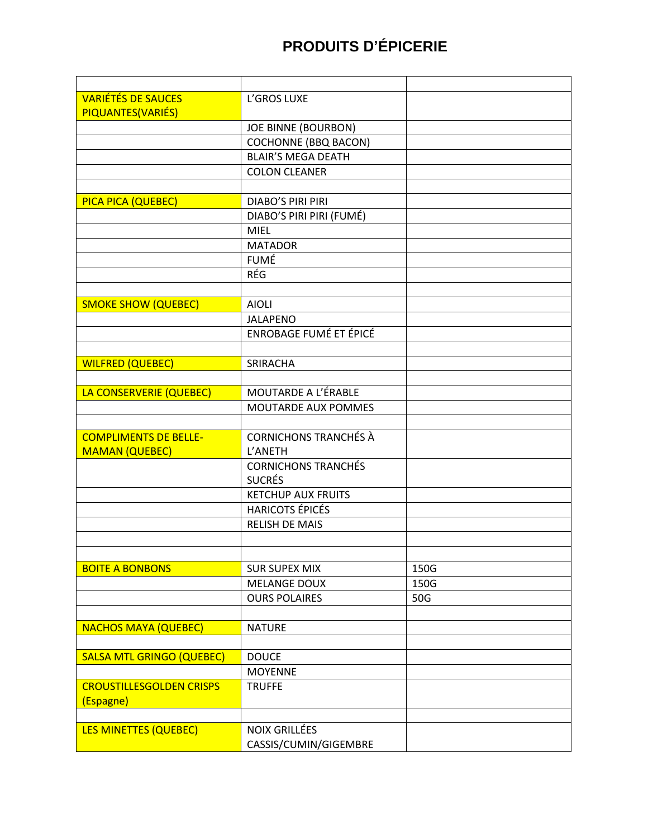| <b>VARIÉTÉS DE SAUCES</b>        | L'GROS LUXE                   |      |
|----------------------------------|-------------------------------|------|
| PIQUANTES(VARIÉS)                |                               |      |
|                                  | <b>JOE BINNE (BOURBON)</b>    |      |
|                                  | <b>COCHONNE (BBQ BACON)</b>   |      |
|                                  | <b>BLAIR'S MEGA DEATH</b>     |      |
|                                  | <b>COLON CLEANER</b>          |      |
|                                  |                               |      |
| PICA PICA (QUEBEC)               | <b>DIABO'S PIRI PIRI</b>      |      |
|                                  | DIABO'S PIRI PIRI (FUMÉ)      |      |
|                                  | <b>MIEL</b>                   |      |
|                                  | <b>MATADOR</b>                |      |
|                                  | <b>FUMÉ</b>                   |      |
|                                  | RÉG                           |      |
|                                  |                               |      |
| <b>SMOKE SHOW (QUEBEC)</b>       | <b>AIOLI</b>                  |      |
|                                  | <b>JALAPENO</b>               |      |
|                                  | <b>ENROBAGE FUMÉ ET ÉPICÉ</b> |      |
|                                  |                               |      |
| <b>WILFRED (QUEBEC)</b>          | SRIRACHA                      |      |
|                                  |                               |      |
| LA CONSERVERIE (QUEBEC)          | MOUTARDE A L'ÉRABLE           |      |
|                                  | MOUTARDE AUX POMMES           |      |
|                                  |                               |      |
| <b>COMPLIMENTS DE BELLE-</b>     | <b>CORNICHONS TRANCHÉS À</b>  |      |
| <b>MAMAN (QUEBEC)</b>            | L'ANETH                       |      |
|                                  | <b>CORNICHONS TRANCHÉS</b>    |      |
|                                  | <b>SUCRÉS</b>                 |      |
|                                  | <b>KETCHUP AUX FRUITS</b>     |      |
|                                  | <b>HARICOTS ÉPICÉS</b>        |      |
|                                  | <b>RELISH DE MAIS</b>         |      |
|                                  |                               |      |
|                                  |                               |      |
| <b>BOITE A BONBONS</b>           | <b>SUR SUPEX MIX</b>          | 150G |
|                                  | <b>MELANGE DOUX</b>           | 150G |
|                                  | <b>OURS POLAIRES</b>          | 50G  |
|                                  |                               |      |
| <b>NACHOS MAYA (QUEBEC)</b>      | <b>NATURE</b>                 |      |
|                                  |                               |      |
| <b>SALSA MTL GRINGO (QUEBEC)</b> | <b>DOUCE</b>                  |      |
|                                  | <b>MOYENNE</b>                |      |
| <b>CROUSTILLESGOLDEN CRISPS</b>  | <b>TRUFFE</b>                 |      |
| (Espagne)                        |                               |      |
|                                  |                               |      |
| <b>LES MINETTES (QUEBEC)</b>     | <b>NOIX GRILLÉES</b>          |      |
|                                  | CASSIS/CUMIN/GIGEMBRE         |      |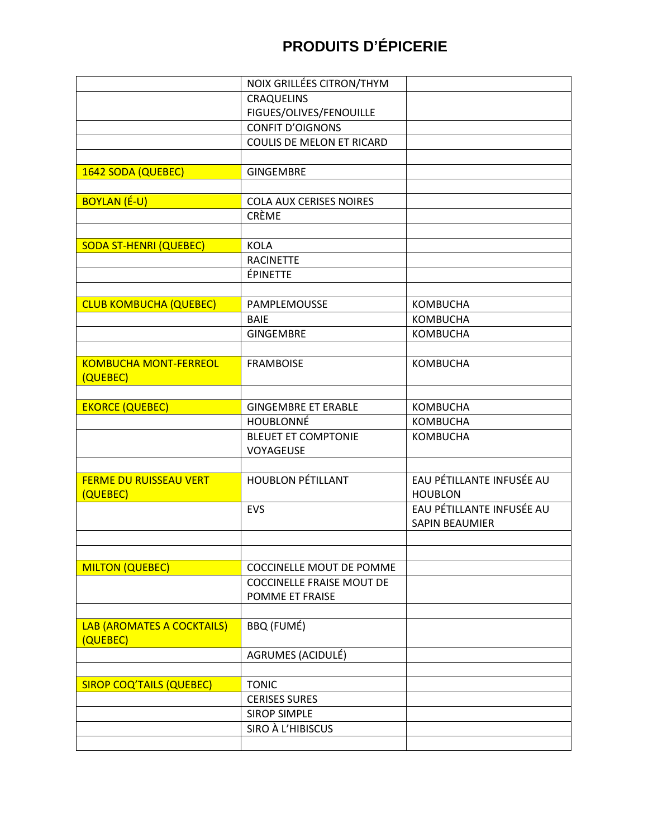|                                 | NOIX GRILLÉES CITRON/THYM        |                           |
|---------------------------------|----------------------------------|---------------------------|
|                                 | <b>CRAQUELINS</b>                |                           |
|                                 | FIGUES/OLIVES/FENOUILLE          |                           |
|                                 | <b>CONFIT D'OIGNONS</b>          |                           |
|                                 | COULIS DE MELON ET RICARD        |                           |
|                                 |                                  |                           |
| 1642 SODA (QUEBEC)              | <b>GINGEMBRE</b>                 |                           |
|                                 |                                  |                           |
| <b>BOYLAN (É-U)</b>             | COLA AUX CERISES NOIRES          |                           |
|                                 | CRÈME                            |                           |
|                                 |                                  |                           |
| <b>SODA ST-HENRI (QUEBEC)</b>   | <b>KOLA</b>                      |                           |
|                                 | <b>RACINETTE</b>                 |                           |
|                                 | <b>ÉPINETTE</b>                  |                           |
|                                 |                                  |                           |
| <b>CLUB KOMBUCHA (QUEBEC)</b>   | PAMPLEMOUSSE                     | <b>KOMBUCHA</b>           |
|                                 | <b>BAIE</b>                      | <b>KOMBUCHA</b>           |
|                                 | <b>GINGEMBRE</b>                 | <b>KOMBUCHA</b>           |
|                                 |                                  |                           |
| <b>KOMBUCHA MONT-FERREOL</b>    | <b>FRAMBOISE</b>                 | <b>KOMBUCHA</b>           |
| (QUEBEC)                        |                                  |                           |
|                                 |                                  |                           |
| <b>EKORCE (QUEBEC)</b>          | <b>GINGEMBRE ET ERABLE</b>       | <b>KOMBUCHA</b>           |
|                                 | <b>HOUBLONNÉ</b>                 | <b>KOMBUCHA</b>           |
|                                 | <b>BLEUET ET COMPTONIE</b>       | <b>KOMBUCHA</b>           |
|                                 | VOYAGEUSE                        |                           |
|                                 |                                  |                           |
| <b>FERME DU RUISSEAU VERT</b>   | <b>HOUBLON PÉTILLANT</b>         | EAU PÉTILLANTE INFUSÉE AU |
| (QUEBEC)                        |                                  | <b>HOUBLON</b>            |
|                                 | <b>EVS</b>                       | EAU PÉTILLANTE INFUSÉE AU |
|                                 |                                  | <b>SAPIN BEAUMIER</b>     |
|                                 |                                  |                           |
|                                 |                                  |                           |
| <b>MILTON (QUEBEC)</b>          | COCCINELLE MOUT DE POMME         |                           |
|                                 | <b>COCCINELLE FRAISE MOUT DE</b> |                           |
|                                 | POMME ET FRAISE                  |                           |
|                                 |                                  |                           |
| LAB (AROMATES A COCKTAILS)      | <b>BBQ (FUMÉ)</b>                |                           |
| (QUEBEC)                        |                                  |                           |
|                                 | AGRUMES (ACIDULÉ)                |                           |
|                                 |                                  |                           |
| <b>SIROP COQ'TAILS (QUEBEC)</b> | <b>TONIC</b>                     |                           |
|                                 | <b>CERISES SURES</b>             |                           |
|                                 | <b>SIROP SIMPLE</b>              |                           |
|                                 | SIRO À L'HIBISCUS                |                           |
|                                 |                                  |                           |